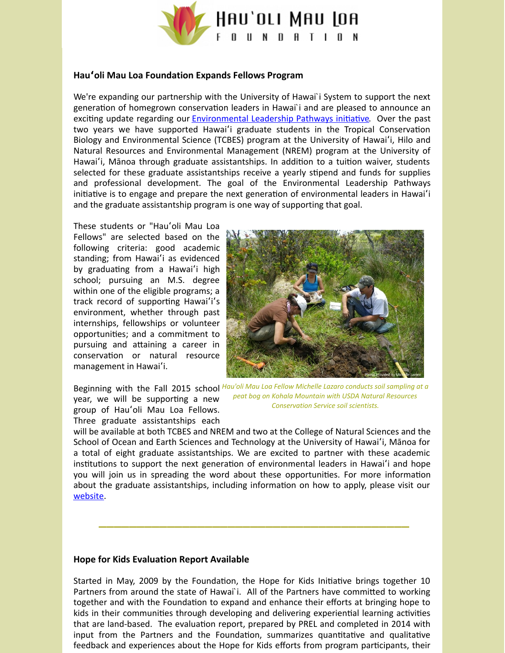

## **Hauʻoli Mau Loa Foundation Expands Fellows Program**

We're expanding our partnership with the University of Hawai`i System to support the next generation of homegrown conservation leaders in Hawai`i and are pleased to announce an exciting update regarding our [Environmental](http://hauolimauloa.org/program/environment/?utm_source=4.+What%27s+New+at+the+Foundation%3F+12+05+14&utm_campaign=Constant+Contact%3A+About+Internships+7%2F18%2F13&utm_medium=email) Leadership Pathways initiative. Over the past two years we have supported Hawai'i graduate students in the Tropical Conservation Biology and Environmental Science (TCBES) program at the University of Hawaiʻi, Hilo and Natural Resources and Environmental Management (NREM) program at the University of Hawai'i, Mānoa through graduate assistantships. In addition to a tuition waiver, students selected for these graduate assistantships receive a yearly stipend and funds for supplies and professional development. The goal of the Environmental Leadership Pathways initiative is to engage and prepare the next generation of environmental leaders in Hawai'i and the graduate assistantship program is one way of supporting that goal.

These students or "Hauʻoli Mau Loa Fellows" are selected based on the following criteria: good academic standing; from Hawaiʻi as evidenced by graduating from a Hawai'i high school; pursuing an M.S. degree within one of the eligible programs; a track record of supporting Hawai'i's environment, whether through past internships, fellowships or volunteer opportunities; and a commitment to pursuing and attaining a career in conservation or natural resource management in Hawaiʻi.



year, we will be supporting a new group of Hauʻoli Mau Loa Fellows. Three graduate assistantships each

*Hau'oli Mau Loa Fellow Michelle Lazaro conducts soil sampling at a* Beginning with the Fall 2015 school *peat bog on Kohala Mountain with USDA Natural Resources Conservation Service soil scientists.*

will be available at both TCBES and NREM and two at the College of Natural Sciences and the School of Ocean and Earth Sciences and Technology at the University of Hawaiʻi, Mānoa for a total of eight graduate assistantships. We are excited to partner with these academic institutions to support the next generation of environmental leaders in Hawai'i and hope you will join us in spreading the word about these opportunities. For more information about the graduate assistantships, including information on how to apply, please visit our [website](http://hauolimauloa.org/new-hau%CA%BBoli-mau-loa-fellowship-opportunities-available-for-fall-2015/?utm_source=4.+What%27s+New+at+the+Foundation%3F+12+05+14&utm_campaign=Constant+Contact%3A+About+Internships+7%2F18%2F13&utm_medium=email).

**\_\_\_\_\_\_\_\_\_\_\_\_\_\_\_\_\_\_\_\_\_\_\_\_\_\_\_\_\_\_\_\_\_\_\_\_\_\_\_\_\_**

## **Hope for Kids Evaluation Report Available**

Started in May, 2009 by the Foundation, the Hope for Kids Initiative brings together 10 Partners from around the state of Hawai`i. All of the Partners have committed to working together and with the Foundation to expand and enhance their efforts at bringing hope to kids in their communities through developing and delivering experiential learning activities that are land-based. The evaluation report, prepared by PREL and completed in 2014 with input from the Partners and the Foundation, summarizes quantitative and qualitative feedback and experiences about the Hope for Kids efforts from program participants, their